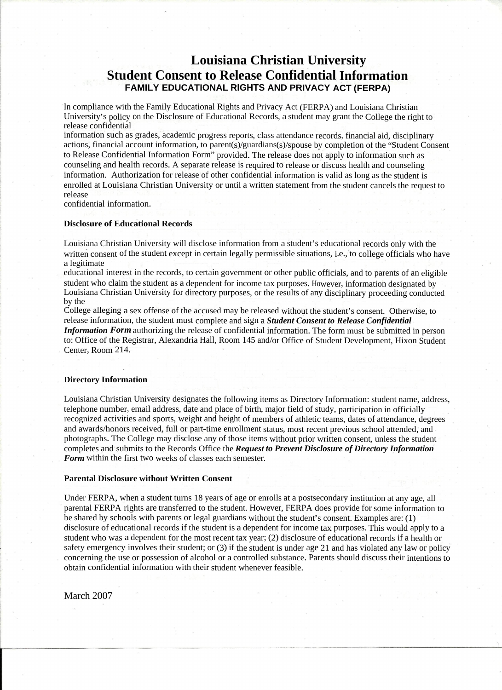information such as grades, academic progress reports, class attendance records, financial aid, disciplinary actions, financial account information, to parent(s)/guardians(s)/spouse by completion of the "Student Consent to Release Confidential Information Form" provided. The release does not apply to information such as counseling and health records. A separate release is required to release or discuss health and counseling information. Authorization for release of other confidential information is valid as long as the student is enrolled at Louisiana Christian University or until a written statement from the student cancels the request to release  $r$  :  $\lambda$  :  $\lambda$  :  $\lambda$  :  $\lambda$  :  $\lambda$  :  $\lambda$  :  $\lambda$  :  $\lambda$  :  $\lambda$  :  $\lambda$  :  $\lambda$  :  $\lambda$  :  $\lambda$  :  $\lambda$  :  $\lambda$  :  $\lambda$  :  $\lambda$  :  $\lambda$  :  $\lambda$  :  $\lambda$  :  $\lambda$  :  $\lambda$  :  $\lambda$  :  $\lambda$  :  $\lambda$  :  $\lambda$  :  $\lambda$  :  $\lambda$  :  $\lambda$  :  $\lambda$  :  $\lambda$ 

confidential information.

## **Disclosure of Educational Records**

### **Louisiana Christian University Student Consent to Release Confidential Information FAMILY EDUCATIONAL RIGHTS AND PRIVACY ACT (FERPA)** - - IGENI CONSENI IO REIEASE CONNICENIIAI I<br>EAMILY ERUO (TIONAL BIOLITO AND BRILLOV A '

College alleging a sex offense of the accused may be released without the student's consent. Otherwise, to release information, the student must complete and sign a *Student Consent to Release Confidential* - Information Form authorizing the release of confidential information. The form must be submitted in person to: Office of the Registrar, Alexandria Hall, Room 145 and/or Office of Student Development, Hixon Student Center, Room 214. • • .

### **Directory Information**

Louisiana Christian University will disclose information from a student's educational records only with the . ' written consent of the student except in certain legally permissible situations, i.e., to college officials who have a legitimate :«

educational interest in the records, to certain government or other public officials, and to parents of an eligible student who claim the student as a dependent for income tax purposes. However, information designated by Louisiana Christian University for directory purposes, or the results of any disciplinary proceeding conducted . by the \* ~  $\mathbf{)}$  $\mathbf{L}$ -

## **Parental Disclosure without Written Consent**

Louisiana Christian University designates the following items as Directory Information: student name, address, telephone number, email address, date and place of birth, major field of study, participation in officially recognized activities and sports, weight and height of members of athletic teams, dates of attendance, degrees and awards/honors received, full or part-time enrollment status, most recent previous school attended, and photographs. The College may disclose any of those items without prior written consent, unless the student completes and submits to the Records Office the *Request to Prevent Disclosure of Directory Information* . *%* Form within the first two weeks of classes each semester. '•• status, most recent previous school attended, and College may disclose any of those items without prior written consent unless the stude " 1

Under FERPA, when a student turns 18 years of age or enrolls at a postsecondary institution at any age, all parental FERPA rights are transferred to the student. However, FERPA does provide for some information to be shared by schools with parents or legal guardians without the student's consent. Examples are: (1) disclosure of educational records if the student is a dependent for income tax purposes. This would apply to a ' .  $\mathsf{H}$ 1 ' '

> student who was a dependent for the most recent tax year; (2) disclosure of educational records if a health or safety emergency involves their student; or (3) if the student is under age 21 and has violated any law or policy concerning the use or possession of alcohol or a controlled substance. Parents should discuss their intentions to obtain confidential information with their student whenever feasible.

r

" - '

- .

\*

-

• -

.

.

.

\*

In compliance with the Family Educational Rights and Privacy Act (FERPA) and Louisiana Christian University's policy on the Disclosure of Educational Records, a student may grant the College the right to release confidential .  $\sum_{i=1}^n\frac{1}{(i-1)!}$ 

:

« £

.

••

'

.

\*

.

**.**

\* ;

.

-

- -

.

. :

-

v

:•

-

-

.

'

.

"

'

'

-

-

\*

:

-

# March 2007

S

—